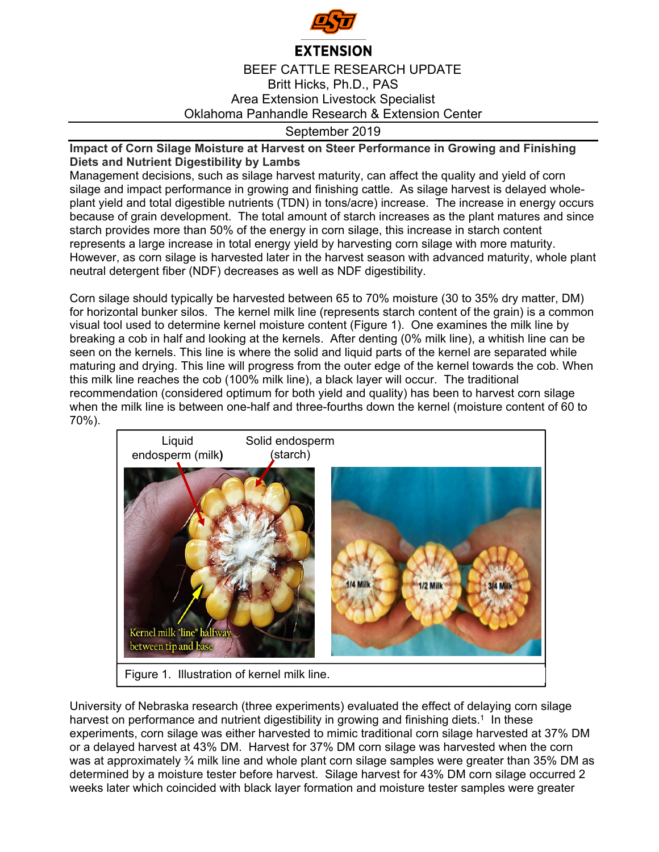

## **EXTENSION**

## BEEF CATTLE RESEARCH UPDATE Britt Hicks, Ph.D., PAS Area Extension Livestock Specialist Oklahoma Panhandle Research & Extension Center

## September 2019

## **Impact of Corn Silage Moisture at Harvest on Steer Performance in Growing and Finishing Diets and Nutrient Digestibility by Lambs**

Management decisions, such as silage harvest maturity, can affect the quality and yield of corn silage and impact performance in growing and finishing cattle. As silage harvest is delayed wholeplant yield and total digestible nutrients (TDN) in tons/acre) increase. The increase in energy occurs because of grain development. The total amount of starch increases as the plant matures and since starch provides more than 50% of the energy in corn silage, this increase in starch content represents a large increase in total energy yield by harvesting corn silage with more maturity. However, as corn silage is harvested later in the harvest season with advanced maturity, whole plant neutral detergent fiber (NDF) decreases as well as NDF digestibility.

Corn silage should typically be harvested between 65 to 70% moisture (30 to 35% dry matter, DM) for horizontal bunker silos. The kernel milk line (represents starch content of the grain) is a common visual tool used to determine kernel moisture content (Figure 1). One examines the milk line by breaking a cob in half and looking at the kernels. After denting (0% milk line), a whitish line can be seen on the kernels. This line is where the solid and liquid parts of the kernel are separated while maturing and drying. This line will progress from the outer edge of the kernel towards the cob. When this milk line reaches the cob (100% milk line), a black layer will occur. The traditional recommendation (considered optimum for both yield and quality) has been to harvest corn silage when the milk line is between one-half and three-fourths down the kernel (moisture content of 60 to 70%).



University of Nebraska research (three experiments) evaluated the effect of delaying corn silage harvest on performance and nutrient digestibility in growing and finishing diets.<sup>1</sup> In these experiments, corn silage was either harvested to mimic traditional corn silage harvested at 37% DM or a delayed harvest at 43% DM. Harvest for 37% DM corn silage was harvested when the corn was at approximately  $\frac{3}{4}$  milk line and whole plant corn silage samples were greater than 35% DM as determined by a moisture tester before harvest. Silage harvest for 43% DM corn silage occurred 2 weeks later which coincided with black layer formation and moisture tester samples were greater